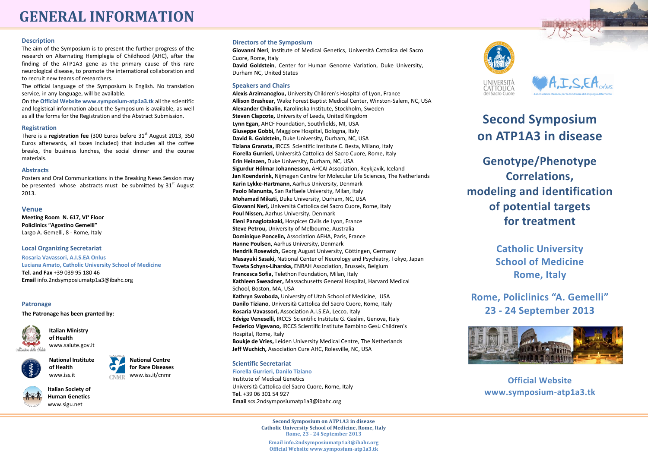# **GENERAL INFORMATION**

#### **Description**

The aim of the Symposium is to present the further progress of the research on Alternating Hemiplegia of Childhood (AHC), after the finding of the ATP1A3 gene as the primary cause of this rare neurological disease, to promote the international collaboration and to recruit new teams of researchers.

The official language of the Symposium is English. No translation service, in any language, will be available.

On the **Official Website www.symposium-atp1a3.tk** all the scientific and logistical information about the Symposium is available, as well as all the forms for the Registration and the Abstract Submission.

#### **Registration**

There is a **registration fee** (300 Euros before 31<sup>st</sup> August 2013, 350 Euros afterwards, all taxes included) that includes all the coffee breaks, the business lunches, the social dinner and the course materials.

### **Abstracts**

Posters and Oral Communications in the Breaking News Session may be presented whose abstracts must be submitted by  $31<sup>st</sup>$  August 2013.

## **Venue**

**Meeting Room N. 617, VI° Floor Policlinics "Agostino Gemelli"** Largo A. Gemelli, 8 - Rome, Italy

### **Local Organizing Secretariat**

**Rosaria Vavassori, A.I.S.EA Onlus Luciana Amato, Catholic University School of Medicine Tel. and Fax** +39 039 95 180 46 **Email** info.2ndsymposiumatp1a3@ibahc.org

### **Patronage**

**The Patronage has been granted by:**



**Italian Ministry of Health** www.salute.gov.it



**National Centre for Rare Diseases** www.iss.it/cnmr **CNMR** 



**Italian Society of Human Genetics** www.sigu.net

www.iss.it

## **Directors of the Symposium**

**Giovanni Neri**, Institute of Medical Genetics, Università Cattolica del Sacro Cuore, Rome, Italy

**David Goldstein**, Center for Human Genome Variation, Duke University, Durham NC, United States

## **Speakers and Chairs**

**Alexis Arzimanoglou,** University Children's Hospital of Lyon, France **Allison Brashear,** Wake Forest Baptist Medical Center, Winston-Salem, NC, USA **Alexander Chibalin,** Karolinska Institute, Stockholm, Sweden **Steven Clapcote,** University of Leeds, United Kingdom **Lynn Egan,** AHCF Foundation, Southfields, MI, USA **Giuseppe Gobbi,** Maggiore Hospital, Bologna, Italy **David B. Goldstein,** Duke University, Durham, NC, USA **Tiziana Granata,** IRCCS Scientific Institute C. Besta, Milano, Italy **Fiorella Gurrieri,** Università Cattolica del Sacro Cuore, Rome, Italy **Erin Heinzen,** Duke University, Durham, NC, USA **Sigurdur Hólmar Johannesson,** AHCAI Association, Reykjavik, Iceland **Jan Koenderink,** Nijmegen Centre for Molecular Life Sciences, The Netherlands **Karin Lykke-Hartmann,** Aarhus University, Denmark **Paolo Manunta,** San Raffaele University, Milan, Italy **Mohamad Mikati,** Duke University, Durham, NC, USA **Giovanni Neri,** Università Cattolica del Sacro Cuore, Rome, Italy **Poul Nissen,** Aarhus University, Denmark **Eleni Panagiotakaki,** Hospices Civils de Lyon, France **Steve Petrou,** University of Melbourne, Australia **Dominique Poncelin,** Association AFHA, Paris, France **Hanne Poulsen,** Aarhus University, Denmark **Hendrik Rosewich,** Georg August University, Göttingen, Germany **Masayuki Sasaki,** National Center of Neurology and Psychiatry, Tokyo, Japan **Tsveta Schyns-Liharska,** ENRAH Association, Brussels, Belgium **Francesca Sofia,** Telethon Foundation, Milan, Italy **Kathleen Sweadner,** Massachusetts General Hospital, Harvard Medical School, Boston, MA, USA **Kathryn Swoboda,** University of Utah School of Medicine, USA **Danilo Tiziano**, Università Cattolica del Sacro Cuore, Rome, Italy **Rosaria Vavassori,** Association A.I.S.EA, Lecco, Italy **Edvige Veneselli,** IRCCS Scientific Institute G. Gaslini, Genova, Italy **Federico Vigevano,** IRCCS Scientific Institute Bambino Gesù Children's Hospital, Rome, Italy **Boukje de Vries,** Leiden University Medical Centre, The Netherlands **Jeff Wuchich,** Association Cure AHC, Rolesville, NC, USA

## **Scientific Secretariat**

**Fiorella Gurrieri, Danilo Tiziano** Institute of Medical Genetics Università Cattolica del Sacro Cuore, Rome, Italy **Tel.** +39 06 301 54 927 **Email** scs.2ndsymposiumatp1a3@ibahc.org

> **Second Symposium on ATP1A3 in disease Catholic University School of Medicine, Rome, Italy Rome, 23 - 24 September 2013**

**Email info.2ndsymposiumatp1a3@ibahc.org Official Website www.symposium-atp1a3.tk**





# **Second Symposium on ATP1A3 in disease**

**Genotype/Phenotype Correlations, modeling and identification of potential targets for treatment**

> **Catholic University School of Medicine Rome, Italy**

**Rome, Policlinics "A. Gemelli" 23 - 24 September 2013**



**Official Website www.symposium-atp1a3.tk**